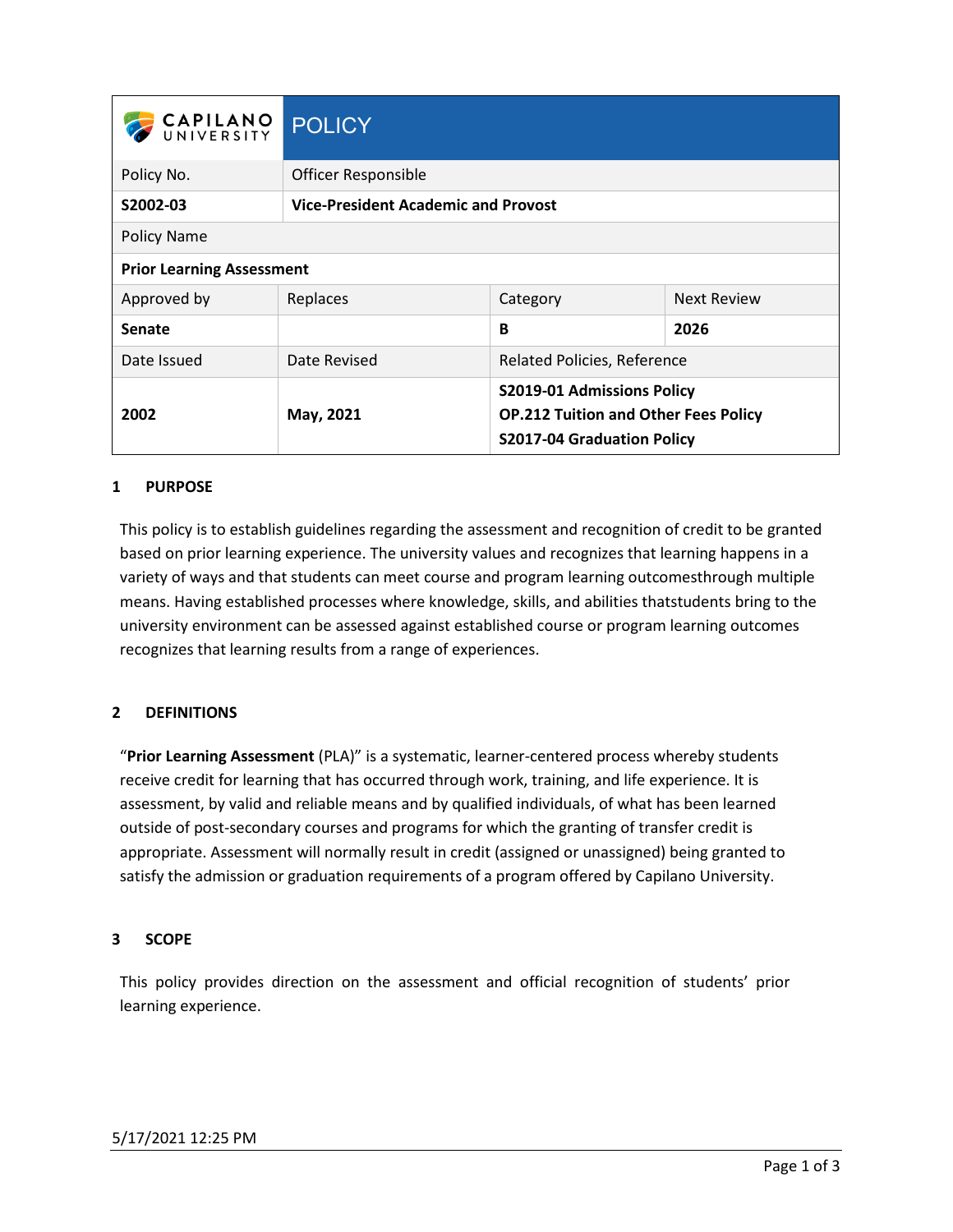| CAPILANO POLICY                  |                                            |                                                                                                         |                    |
|----------------------------------|--------------------------------------------|---------------------------------------------------------------------------------------------------------|--------------------|
| Policy No.                       | Officer Responsible                        |                                                                                                         |                    |
| S2002-03                         | <b>Vice-President Academic and Provost</b> |                                                                                                         |                    |
| Policy Name                      |                                            |                                                                                                         |                    |
| <b>Prior Learning Assessment</b> |                                            |                                                                                                         |                    |
| Approved by                      | Replaces                                   | Category                                                                                                | <b>Next Review</b> |
| <b>Senate</b>                    |                                            | B                                                                                                       | 2026               |
| Date Issued                      | Date Revised                               | <b>Related Policies, Reference</b>                                                                      |                    |
| 2002                             | May, 2021                                  | S2019-01 Admissions Policy<br><b>OP.212 Tuition and Other Fees Policy</b><br>S2017-04 Graduation Policy |                    |

## **1 PURPOSE**

This policy is to establish guidelines regarding the assessment and recognition of credit to be granted based on prior learning experience. The university values and recognizes that learning happens in a variety of ways and that students can meet course and program learning outcomesthrough multiple means. Having established processes where knowledge, skills, and abilities thatstudents bring to the university environment can be assessed against established course or program learning outcomes recognizes that learning results from a range of experiences.

## **2 DEFINITIONS**

"**Prior Learning Assessment** (PLA)" is a systematic, learner-centered process whereby students receive credit for learning that has occurred through work, training, and life experience. It is assessment, by valid and reliable means and by qualified individuals, of what has been learned outside of post-secondary courses and programs for which the granting of transfer credit is appropriate. Assessment will normally result in credit (assigned or unassigned) being granted to satisfy the admission or graduation requirements of a program offered by Capilano University.

#### **3 SCOPE**

This policy provides direction on the assessment and official recognition of students' prior learning experience.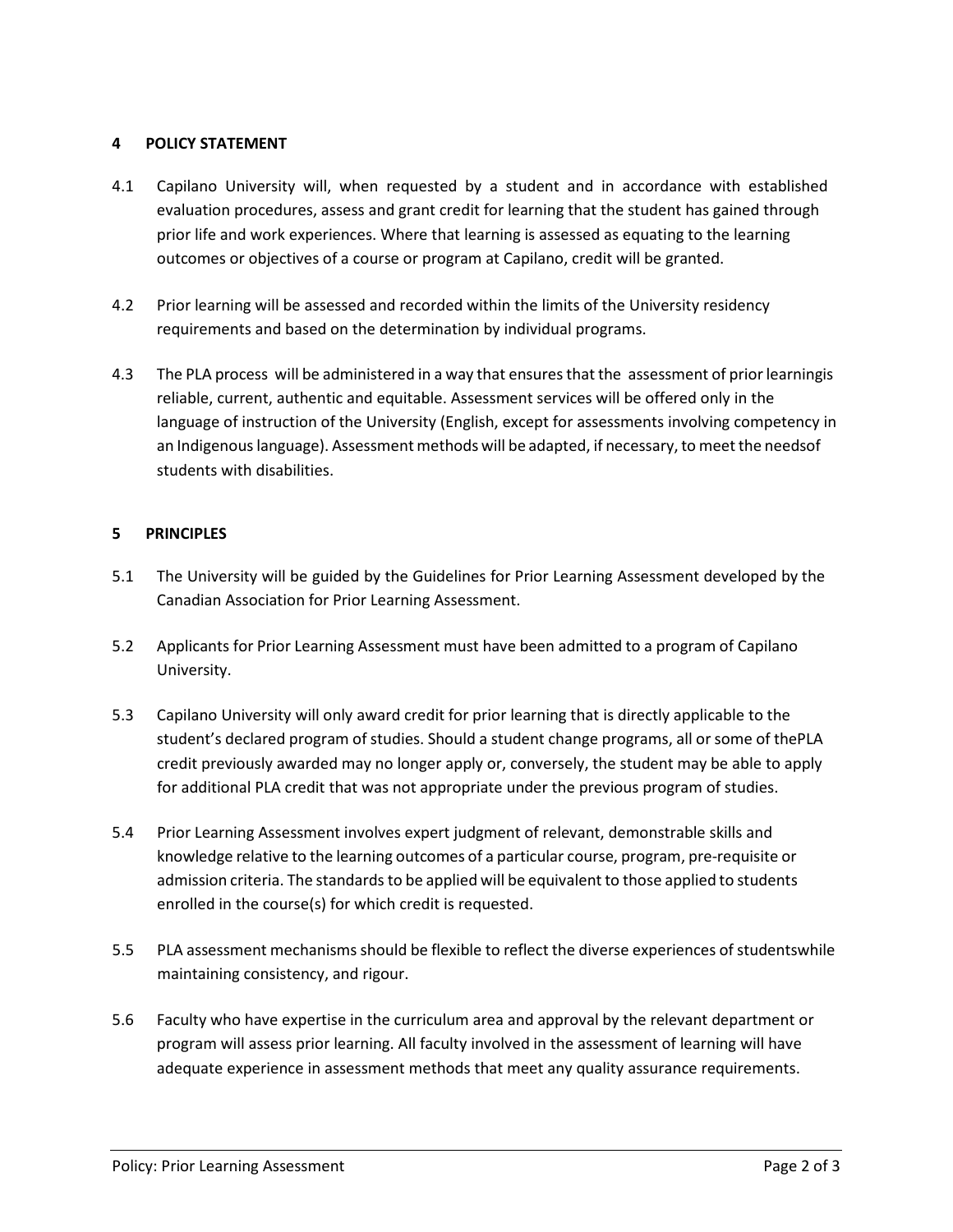### **4 POLICY STATEMENT**

- 4.1 Capilano University will, when requested by a student and in accordance with established evaluation procedures, assess and grant credit for learning that the student has gained through prior life and work experiences. Where that learning is assessed as equating to the learning outcomes or objectives of a course or program at Capilano, credit will be granted.
- 4.2 Prior learning will be assessed and recorded within the limits of the University residency requirements and based on the determination by individual programs.
- 4.3 The PLA process will be administered in a way that ensures that the assessment of prior learningis reliable, current, authentic and equitable. Assessment services will be offered only in the language of instruction of the University (English, except for assessments involving competency in an Indigenous language). Assessment methods will be adapted, if necessary, to meet the needsof students with disabilities.

### **5 PRINCIPLES**

- 5.1 The University will be guided by the Guidelines for Prior Learning Assessment developed by the Canadian Association for Prior Learning Assessment.
- 5.2 Applicants for Prior Learning Assessment must have been admitted to a program of Capilano University.
- 5.3 Capilano University will only award credit for prior learning that is directly applicable to the student's declared program of studies. Should a student change programs, all orsome of thePLA credit previously awarded may no longer apply or, conversely, the student may be able to apply for additional PLA credit that was not appropriate under the previous program of studies.
- 5.4 Prior Learning Assessment involves expert judgment of relevant, demonstrable skills and knowledge relative to the learning outcomes of a particular course, program, pre-requisite or admission criteria. The standards to be applied will be equivalent to those applied to students enrolled in the course(s) for which credit is requested.
- 5.5 PLA assessment mechanisms should be flexible to reflect the diverse experiences of studentswhile maintaining consistency, and rigour.
- 5.6 Faculty who have expertise in the curriculum area and approval by the relevant department or program will assess prior learning. All faculty involved in the assessment of learning will have adequate experience in assessment methods that meet any quality assurance requirements.